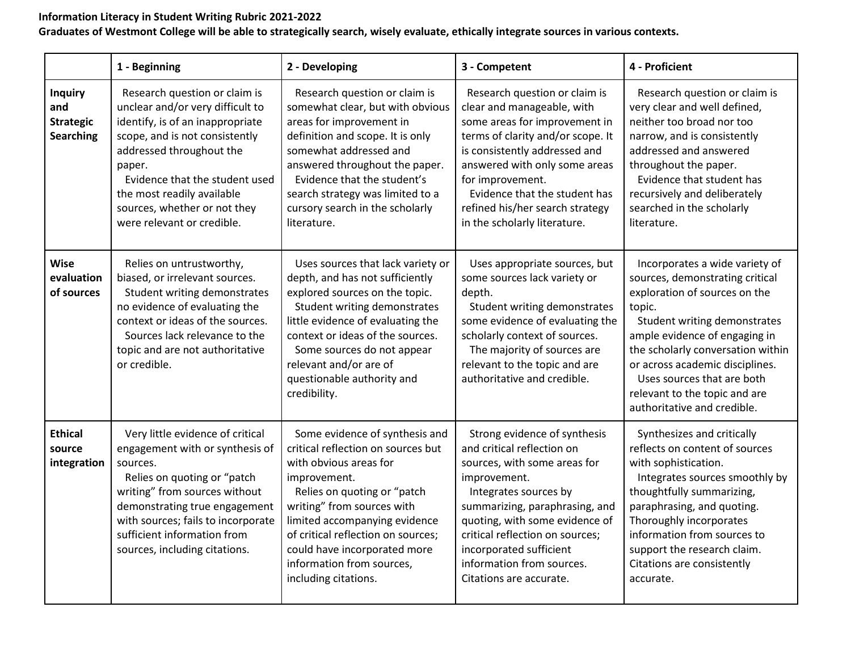## **Information Literacy in Student Writing Rubric 2021-2022**

## **Graduates of Westmont College will be able to strategically search, wisely evaluate, ethically integrate sources in various contexts.**

|                                                               | 1 - Beginning                                                                                                                                                                                                                                                                                               | 2 - Developing                                                                                                                                                                                                                                                                                                                          | 3 - Competent                                                                                                                                                                                                                                                                                                                 | 4 - Proficient                                                                                                                                                                                                                                                                                                                                      |
|---------------------------------------------------------------|-------------------------------------------------------------------------------------------------------------------------------------------------------------------------------------------------------------------------------------------------------------------------------------------------------------|-----------------------------------------------------------------------------------------------------------------------------------------------------------------------------------------------------------------------------------------------------------------------------------------------------------------------------------------|-------------------------------------------------------------------------------------------------------------------------------------------------------------------------------------------------------------------------------------------------------------------------------------------------------------------------------|-----------------------------------------------------------------------------------------------------------------------------------------------------------------------------------------------------------------------------------------------------------------------------------------------------------------------------------------------------|
| <b>Inquiry</b><br>and<br><b>Strategic</b><br><b>Searching</b> | Research question or claim is<br>unclear and/or very difficult to<br>identify, is of an inappropriate<br>scope, and is not consistently<br>addressed throughout the<br>paper.<br>Evidence that the student used<br>the most readily available<br>sources, whether or not they<br>were relevant or credible. | Research question or claim is<br>somewhat clear, but with obvious<br>areas for improvement in<br>definition and scope. It is only<br>somewhat addressed and<br>answered throughout the paper.<br>Evidence that the student's<br>search strategy was limited to a<br>cursory search in the scholarly<br>literature.                      | Research question or claim is<br>clear and manageable, with<br>some areas for improvement in<br>terms of clarity and/or scope. It<br>is consistently addressed and<br>answered with only some areas<br>for improvement.<br>Evidence that the student has<br>refined his/her search strategy<br>in the scholarly literature.   | Research question or claim is<br>very clear and well defined,<br>neither too broad nor too<br>narrow, and is consistently<br>addressed and answered<br>throughout the paper.<br>Evidence that student has<br>recursively and deliberately<br>searched in the scholarly<br>literature.                                                               |
| Wise<br>evaluation<br>of sources                              | Relies on untrustworthy,<br>biased, or irrelevant sources.<br>Student writing demonstrates<br>no evidence of evaluating the<br>context or ideas of the sources.<br>Sources lack relevance to the<br>topic and are not authoritative<br>or credible.                                                         | Uses sources that lack variety or<br>depth, and has not sufficiently<br>explored sources on the topic.<br>Student writing demonstrates<br>little evidence of evaluating the<br>context or ideas of the sources.<br>Some sources do not appear<br>relevant and/or are of<br>questionable authority and<br>credibility.                   | Uses appropriate sources, but<br>some sources lack variety or<br>depth.<br>Student writing demonstrates<br>some evidence of evaluating the<br>scholarly context of sources.<br>The majority of sources are<br>relevant to the topic and are<br>authoritative and credible.                                                    | Incorporates a wide variety of<br>sources, demonstrating critical<br>exploration of sources on the<br>topic.<br>Student writing demonstrates<br>ample evidence of engaging in<br>the scholarly conversation within<br>or across academic disciplines.<br>Uses sources that are both<br>relevant to the topic and are<br>authoritative and credible. |
| <b>Ethical</b><br>source<br>integration                       | Very little evidence of critical<br>engagement with or synthesis of<br>sources.<br>Relies on quoting or "patch<br>writing" from sources without<br>demonstrating true engagement<br>with sources; fails to incorporate<br>sufficient information from<br>sources, including citations.                      | Some evidence of synthesis and<br>critical reflection on sources but<br>with obvious areas for<br>improvement.<br>Relies on quoting or "patch<br>writing" from sources with<br>limited accompanying evidence<br>of critical reflection on sources;<br>could have incorporated more<br>information from sources,<br>including citations. | Strong evidence of synthesis<br>and critical reflection on<br>sources, with some areas for<br>improvement.<br>Integrates sources by<br>summarizing, paraphrasing, and<br>quoting, with some evidence of<br>critical reflection on sources;<br>incorporated sufficient<br>information from sources.<br>Citations are accurate. | Synthesizes and critically<br>reflects on content of sources<br>with sophistication.<br>Integrates sources smoothly by<br>thoughtfully summarizing,<br>paraphrasing, and quoting.<br>Thoroughly incorporates<br>information from sources to<br>support the research claim.<br>Citations are consistently<br>accurate.                               |